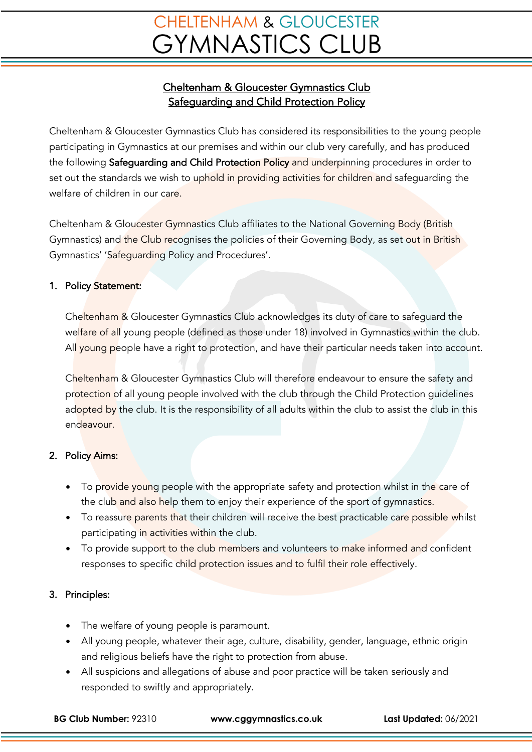# **CHELTENHAM & GLOUCESTER GYMNASTICS CLUB**

### Cheltenham & Gloucester Gymnastics Club Safeguarding and Child Protection Policy

Cheltenham & Gloucester Gymnastics Club has considered its responsibilities to the young people participating in Gymnastics at our premises and within our club very carefully, and has produced the following Safequarding and Child Protection Policy and underpinning procedures in order to set out the standards we wish to uphold in providing activities for children and safeguarding the welfare of children in our care.

Cheltenham & Gloucester Gymnastics Club affiliates to the National Governing Body (British Gymnastics) and the Club recognises the policies of their Governing Body, as set out in British Gymnastics' 'Safeguarding Policy and Procedures'.

#### 1. Policy Statement:

Cheltenham & Gloucester Gymnastics Club acknowledges its duty of care to safeguard the welfare of all young people (defined as those under 18) involved in Gymnastics within the club. All young people have a right to protection, and have their particular needs taken into account.

Cheltenham & Gloucester Gymnastics Club will therefore endeavour to ensure the safety and protection of all young people involved with the club through the Child Protection guidelines adopted by the club. It is the responsibility of all adults within the club to assist the club in this endeavour.

### 2. Policy Aims:

- To provide young people with the appropriate safety and protection whilst in the care of the club and also help them to enjoy their experience of the sport of gymnastics.
- To reassure parents that their children will receive the best practicable care possible whilst participating in activities within the club.
- To provide support to the club members and volunteers to make informed and confident responses to specific child protection issues and to fulfil their role effectively.

### 3. Principles:

- The welfare of young people is paramount.
- All young people, whatever their age, culture, disability, gender, language, ethnic origin and religious beliefs have the right to protection from abuse.
- All suspicions and allegations of abuse and poor practice will be taken seriously and responded to swiftly and appropriately.

**BG Club Number:** 92310 **www.cggymnastics.co.uk Last Updated:** 06/2021